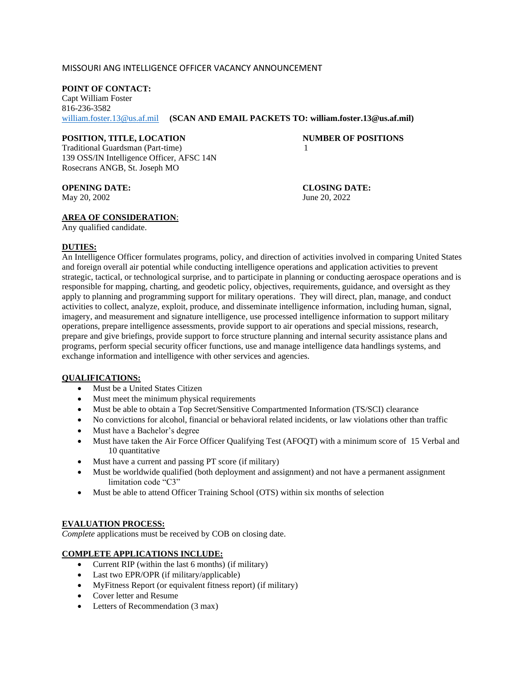### MISSOURI ANG INTELLIGENCE OFFICER VACANCY ANNOUNCEMENT

### **POINT OF CONTACT:**

Capt William Foster 816-236-3582 [william.foster.13@us.af.mil](mailto:william.foster.13@us.af.mil) **(SCAN AND EMAIL PACKETS TO: william.foster.13@us.af.mil)**

# **POSITION, TITLE, LOCATION NUMBER OF POSITIONS**

Traditional Guardsman (Part-time) 1 139 OSS/IN Intelligence Officer, AFSC 14N Rosecrans ANGB, St. Joseph MO

**OPENING DATE: CLOSING DATE:** May 20, 2002 June 20, 2022

# **AREA OF CONSIDERATION**:

Any qualified candidate.

# **DUTIES:**

An Intelligence Officer formulates programs, policy, and direction of activities involved in comparing United States and foreign overall air potential while conducting intelligence operations and application activities to prevent strategic, tactical, or technological surprise, and to participate in planning or conducting aerospace operations and is responsible for mapping, charting, and geodetic policy, objectives, requirements, guidance, and oversight as they apply to planning and programming support for military operations. They will direct, plan, manage, and conduct activities to collect, analyze, exploit, produce, and disseminate intelligence information, including human, signal, imagery, and measurement and signature intelligence, use processed intelligence information to support military operations, prepare intelligence assessments, provide support to air operations and special missions, research, prepare and give briefings, provide support to force structure planning and internal security assistance plans and programs, perform special security officer functions, use and manage intelligence data handlings systems, and exchange information and intelligence with other services and agencies.

#### **QUALIFICATIONS:**

- Must be a United States Citizen
- Must meet the minimum physical requirements
- Must be able to obtain a Top Secret/Sensitive Compartmented Information (TS/SCI) clearance
- No convictions for alcohol, financial or behavioral related incidents, or law violations other than traffic
- Must have a Bachelor's degree
- Must have taken the Air Force Officer Qualifying Test (AFOQT) with a minimum score of 15 Verbal and 10 quantitative
- Must have a current and passing PT score (if military)
- Must be worldwide qualified (both deployment and assignment) and not have a permanent assignment limitation code "C3"
- Must be able to attend Officer Training School (OTS) within six months of selection

#### **EVALUATION PROCESS:**

*Complete* applications must be received by COB on closing date.

# **COMPLETE APPLICATIONS INCLUDE:**

- Current RIP (within the last 6 months) (if military)
- Last two EPR/OPR (if military/applicable)
- MyFitness Report (or equivalent fitness report) (if military)
- Cover letter and Resume
- Letters of Recommendation (3 max)